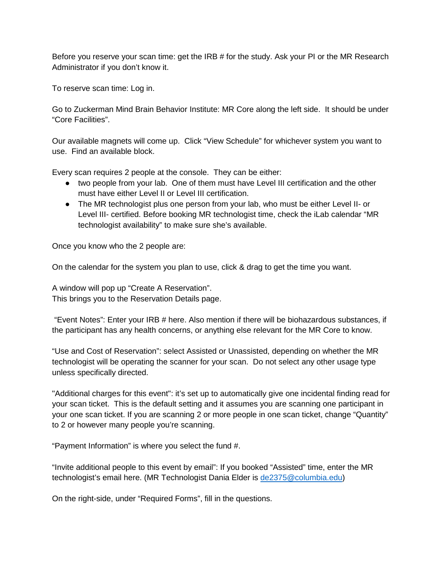Before you reserve your scan time: get the IRB # for the study. Ask your PI or the MR Research Administrator if you don't know it.

To reserve scan time: Log in.

Go to Zuckerman Mind Brain Behavior Institute: MR Core along the left side. It should be under "Core Facilities".

Our available magnets will come up. Click "View Schedule" for whichever system you want to use. Find an available block.

Every scan requires 2 people at the console. They can be either:

- two people from your lab. One of them must have Level III certification and the other must have either Level II or Level III certification.
- The MR technologist plus one person from your lab, who must be either Level II- or Level III- certified. Before booking MR technologist time, check the iLab calendar "MR technologist availability" to make sure she's available.

Once you know who the 2 people are:

On the calendar for the system you plan to use, click & drag to get the time you want.

A window will pop up "Create A Reservation". This brings you to the Reservation Details page.

"Event Notes": Enter your IRB # here. Also mention if there will be biohazardous substances, if the participant has any health concerns, or anything else relevant for the MR Core to know.

"Use and Cost of Reservation": select Assisted or Unassisted, depending on whether the MR technologist will be operating the scanner for your scan. Do not select any other usage type unless specifically directed.

"Additional charges for this event": it's set up to automatically give one incidental finding read for your scan ticket. This is the default setting and it assumes you are scanning one participant in your one scan ticket. If you are scanning 2 or more people in one scan ticket, change "Quantity" to 2 or however many people you're scanning.

"Payment Information" is where you select the fund #.

"Invite additional people to this event by email": If you booked "Assisted" time, enter the MR technologist's email here. (MR Technologist Dania Elder is [de2375@columbia.edu\)](mailto:de2375@columbia.edu)

On the right-side, under "Required Forms", fill in the questions.